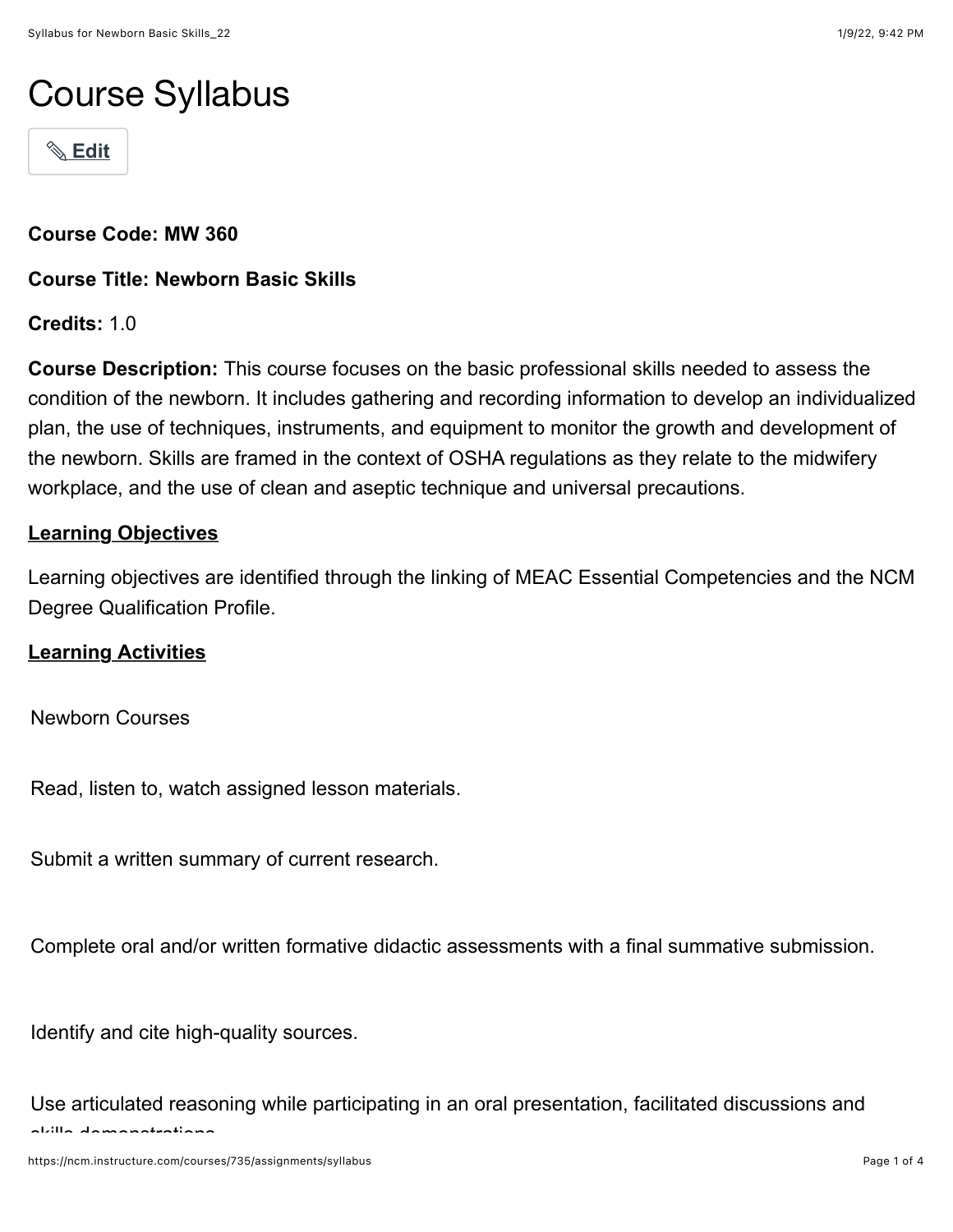# Course Syllabus

! **[Edit](https://ncm.instructure.com/courses/735/assignments/syllabus#)**

**Course Code: MW 360**

**Course Title: Newborn Basic Skills**

**Credits:** 1.0

**Course Description:** This course focuses on the basic professional skills needed to assess the condition of the newborn. It includes gathering and recording information to develop an individualized plan, the use of techniques, instruments, and equipment to monitor the growth and development of the newborn. Skills are framed in the context of OSHA regulations as they relate to the midwifery workplace, and the use of clean and aseptic technique and universal precautions.

# **Learning Objectives**

Learning objectives are identified through the linking of MEAC Essential Competencies and the NCM Degree Qualification Profile.

#### **Learning Activities**

Newborn Courses

Read, listen to, watch assigned lesson materials.

Submit a written summary of current research.

Complete oral and/or written formative didactic assessments with a final summative submission.

Identify and cite high-quality sources.

Use articulated reasoning while participating in an oral presentation, facilitated discussions and skills demonstrations.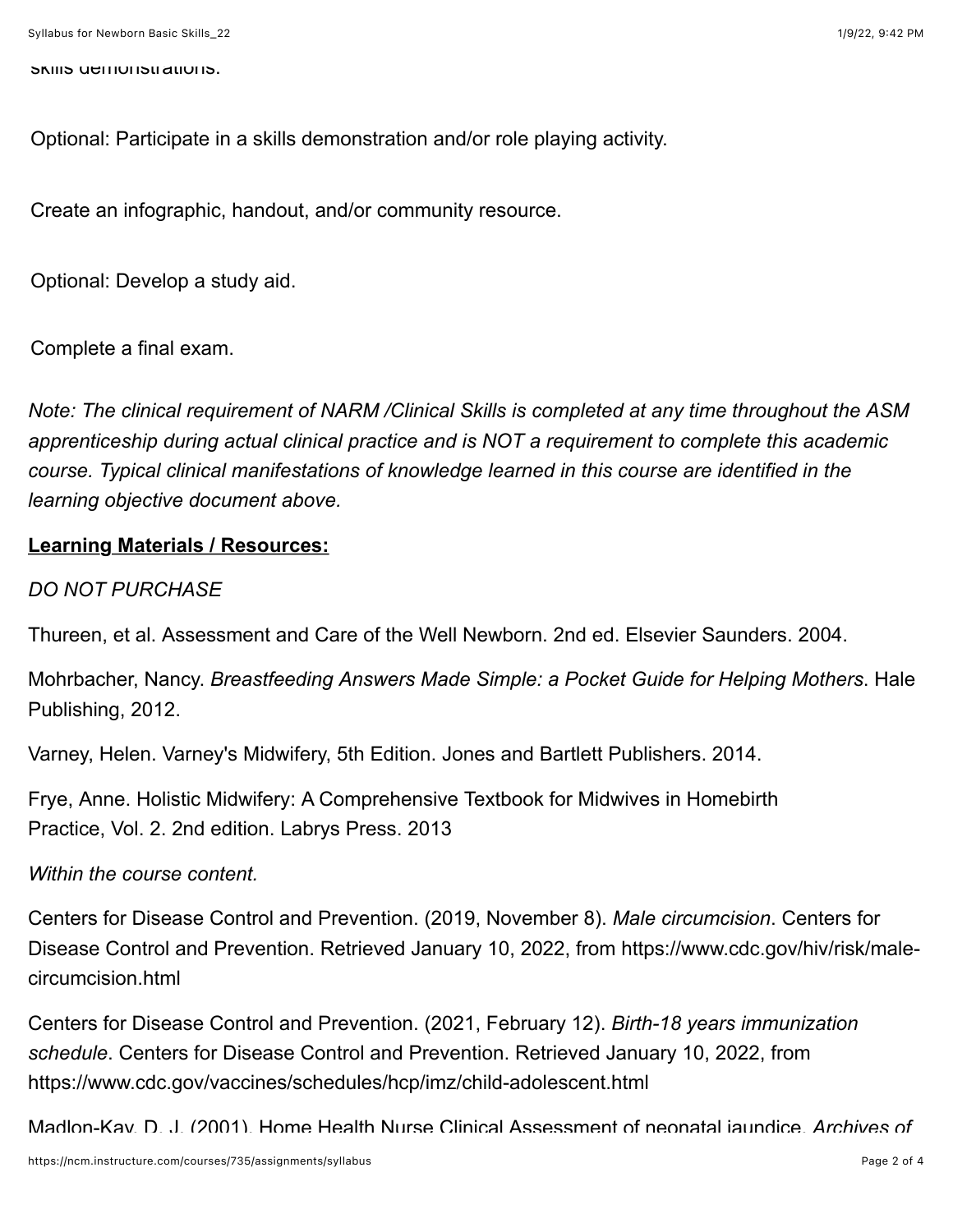skills demonstrations.

Optional: Participate in a skills demonstration and/or role playing activity.

Create an infographic, handout, and/or community resource.

Optional: Develop a study aid.

Complete a final exam.

*Note: The clinical requirement of NARM /Clinical Skills is completed at any time throughout the ASM apprenticeship during actual clinical practice and is NOT a requirement to complete this academic course. Typical clinical manifestations of knowledge learned in this course are identified in the learning objective document above.*

## **Learning Materials / Resources:**

#### *DO NOT PURCHASE*

Thureen, et al. Assessment and Care of the Well Newborn. 2nd ed. Elsevier Saunders. 2004.

Mohrbacher, Nancy. *Breastfeeding Answers Made Simple: a Pocket Guide for Helping Mothers*. Hale Publishing, 2012.

Varney, Helen. Varney's Midwifery, 5th Edition. Jones and Bartlett Publishers. 2014.

Frye, Anne. Holistic Midwifery: A Comprehensive Textbook for Midwives in Homebirth Practice, Vol. 2. 2nd edition. Labrys Press. 2013

#### *Within the course content.*

Centers for Disease Control and Prevention. (2019, November 8). *Male circumcision*. Centers for Disease Control and Prevention. Retrieved January 10, 2022, from https://www.cdc.gov/hiv/risk/malecircumcision.html

Centers for Disease Control and Prevention. (2021, February 12). *Birth-18 years immunization schedule*. Centers for Disease Control and Prevention. Retrieved January 10, 2022, from https://www.cdc.gov/vaccines/schedules/hcp/imz/child-adolescent.html

Madlon-Kay, D. J. (2001). Home Health Nurse Clinical Assessment of neonatal jaundice. *Archives of*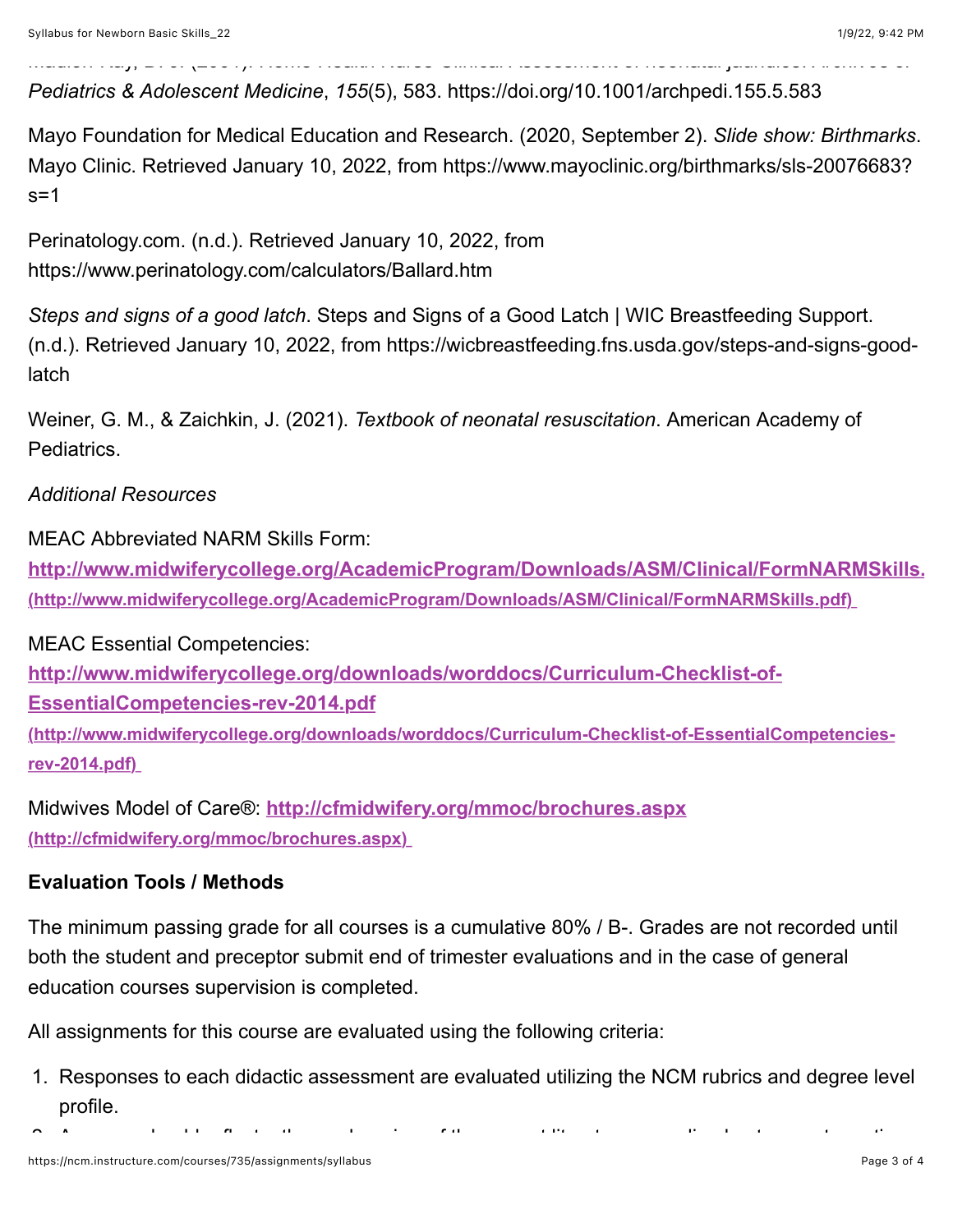*Pediatrics & Adolescent Medicine*, *155*(5), 583. https://doi.org/10.1001/archpedi.155.5.583

Mayo Foundation for Medical Education and Research. (2020, September 2). *Slide show: Birthmarks*. Mayo Clinic. Retrieved January 10, 2022, from https://www.mayoclinic.org/birthmarks/sls-20076683?  $s=1$ 

Madlon-Kay, D. J. (2001). Home Health Nurse Clinical Assessment of neonatal jaundice. *Archives of*

Perinatology.com. (n.d.). Retrieved January 10, 2022, from https://www.perinatology.com/calculators/Ballard.htm

*Steps and signs of a good latch*. Steps and Signs of a Good Latch | WIC Breastfeeding Support. (n.d.). Retrieved January 10, 2022, from https://wicbreastfeeding.fns.usda.gov/steps-and-signs-goodlatch

Weiner, G. M., & Zaichkin, J. (2021). *Textbook of neonatal resuscitation*. American Academy of Pediatrics.

## *Additional Resources*

MEAC Abbreviated NARM Skills Form:

**[http://www.midwiferycollege.org/AcademicProgram/Downloads/ASM/Clinical/FormNARMSkills.](http://www.midwiferycollege.org/AcademicProgram/Downloads/ASM/Clinical/FormNARMSkills.pdf)pdf (http://www.midwiferycollege.org/AcademicProgram/Downloads/ASM/Clinical/FormNARMSkills.pdf)** 

MEAC Essential Competencies:

**http://www.midwiferycollege.org/downloads/worddocs/Curriculum-Checklist-of-**

**EssentialCompetencies-rev-2014.pdf**

**[\(http://www.midwiferycollege.org/downloads/worddocs/Curriculum-Checklist-of-EssentialCompetencies](http://www.midwiferycollege.org/downloads/worddocs/Curriculum-Checklist-of-EssentialCompetencies-rev-2014.pdf)rev-2014.pdf)** 

Midwives Model of Care®: **<http://cfmidwifery.org/mmoc/brochures.aspx> (http://cfmidwifery.org/mmoc/brochures.aspx)** 

# **Evaluation Tools / Methods**

The minimum passing grade for all courses is a cumulative 80% / B-. Grades are not recorded until both the student and preceptor submit end of trimester evaluations and in the case of general education courses supervision is completed.

All assignments for this course are evaluated using the following criteria:

1. Responses to each didactic assessment are evaluated utilizing the NCM rubrics and degree level profile.

2. Answers should reflect a thorough review of the current literature regarding best current practices